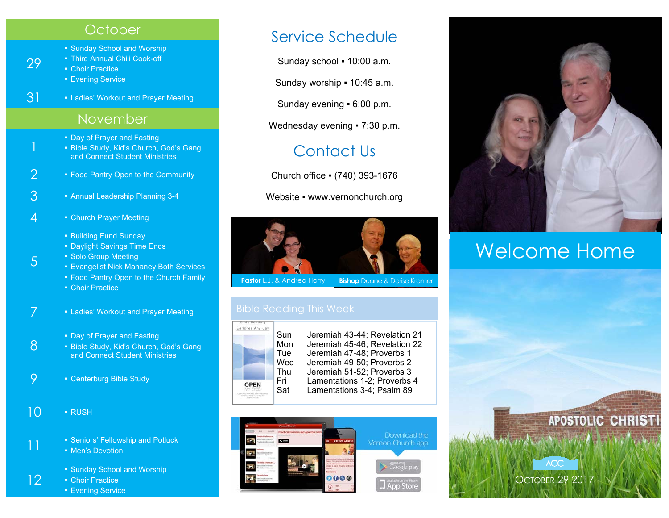#### **October**

- Sunday School and Worship
- Third Annual Chili Cook-off

■ Choir Practice

29

- **Evening Service**
- 3<sup>1</sup> Ladies' Workout and Prayer Meeting

### November

- 
- Day of Prayer and Fasting<br>
 Bible Study, Kid's Church, God's Gang, and Connect Student Ministries
- 2 Food Pantry Open to the Community
- 3 Annual Leadership Planning 3-4
- $4$  Church Prayer Meeting
	- Building Fund Sunday
	- **Daylight Savings Time Ends**
	- Solo Group Meeting

5

- **Evangelist Nick Mahaney Both Services**
- **Food Pantry Open to the Church Family**
- **Choir Practice**
- 7 Ladies' Workout and Prayer Meeting
	-
- 8 Day of Prayer and Fasting Bible Study, Kid's Church, God's Gang, and Connect Student Ministries
- 9 Centerburg Bible Study
- $10 \cdot R$ USH
- 11 **F** Seniors' Fellowship and Potluck
	- **Men's Devotion**
- Sunday School and Worship<br> **12** Choir Practice
	- **Choir Practice** 
		- **Evening Service**

## Service Schedule

Sunday school ▪ 10:00 a.m.

Sunday worship ▪ 10:45 a.m.

Sunday evening ▪ 6:00 p.m.

Wednesday evening • 7:30 p.m.

# Contact Us

Church office ▪ (740) 393-1676

Website • www.vernonchurch.org



**Pastor** L.J. & Andrea Harry **Bishop** Duane & Dorise Kramer



Sun Jeremiah 43-44; Revelation 21 Mon Jeremiah 45-46; Revelation 22 Tue Jeremiah 47-48; Proverbs 1<br>Wed Jeremiah 49-50: Proverbs 2 Jeremiah 49-50; Proverbs 2 Thu Jeremiah 51-52; Proverbs 3 Fri Lamentations 1-2; Proverbs 4 Sat Lamentations 3-4; Psalm 89





# Welcome Home